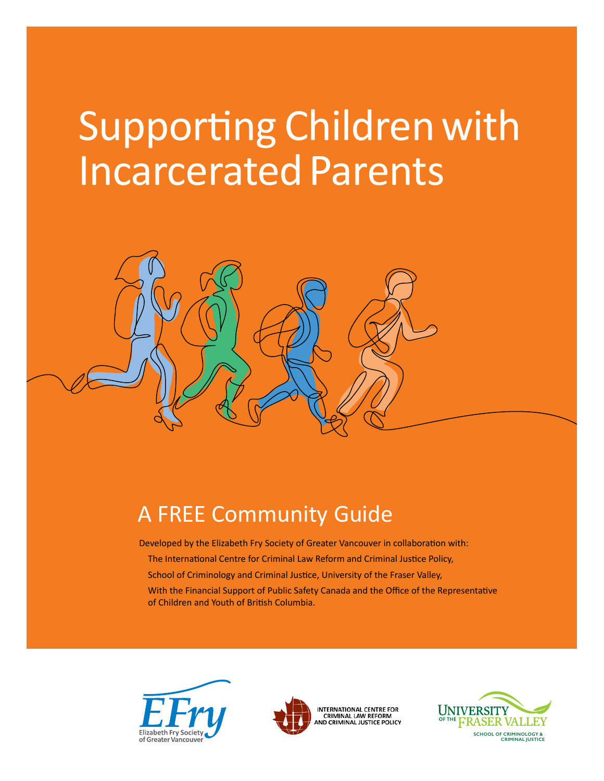# Supporting Children with Incarcerated Parents



# A FREE Community Guide

Developed by the Elizabeth Fry Society of Greater Vancouver in collaboration with:

- The International Centre for Criminal Law Reform and Criminal Justice Policy,
- School of Criminology and Criminal Justice, University of the Fraser Valley,
- With the Financial Support of Public Safety Canada and the Office of the Representative of Children and Youth of British Columbia.





INTERNATIONAL CENTRE FOR **CRIMINAL LAW REFORM<br>CRIMINAL LAW REFORM<br>ND CRIMINAL JUSTICE POLICY** 

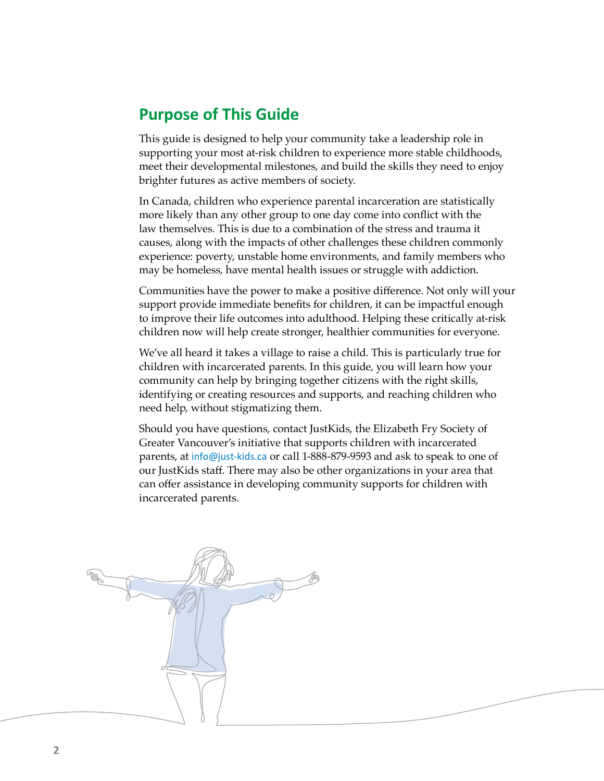# <span id="page-1-0"></span>**Purpose of This Guide**

This guide is designed to help your community take a leadership role in supporting your most at-risk children to experience more stable childhoods, meet their developmental milestones, and build the skills they need to enjoy brighter futures as active members of society.

In Canada, children who experience parental incarceration are statistically more likely than any other group to one day come into conflict with the law themselves. This is due to a combination of the stress and trauma it causes, along with the impacts of other challenges these children commonly experience: poverty, unstable home environments, and family members who may be homeless, have mental health issues or struggle with addiction.

Communities have the power to make a positive difference. Not only will your support provide immediate benefits for children, it can be impactful enough to improve their life outcomes into adulthood. Helping these critically at-risk children now will help create stronger, healthier communities for everyone.

We've all heard it takes a village to raise a child. This is particularly true for children with incarcerated parents. In this guide, you will learn how your community can help by bringing together citizens with the right skills, identifying or creating resources and supports, and reaching children who need help, without stigmatizing them.

Should you have questions, contact JustKids, the Elizabeth Fry Society of Greater Vancouver's initiative that supports children with incarcerated parents, at [info@just-kids.ca](mailto:info@just-kids.ca) or call 1-888-879-9593 and ask to speak to one of our JustKids staff. There may also be other organizations in your area that can offer assistance in developing community supports for children with incarcerated parents.

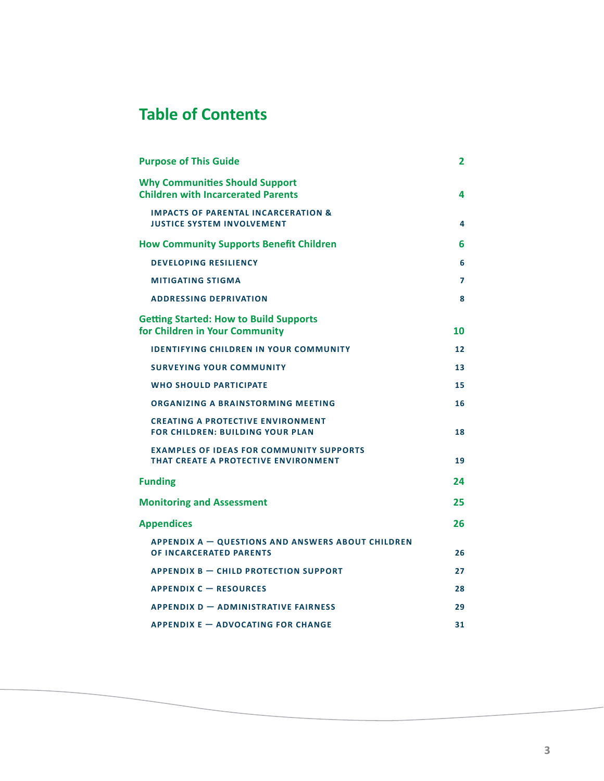# **Table of Contents**

| <b>Purpose of This Guide</b>                                                               | $\mathbf{2}$ |
|--------------------------------------------------------------------------------------------|--------------|
| <b>Why Communities Should Support</b><br><b>Children with Incarcerated Parents</b>         | 4            |
| <b>IMPACTS OF PARENTAL INCARCERATION &amp;</b><br><b>JUSTICE SYSTEM INVOLVEMENT</b>        | 4            |
| <b>How Community Supports Benefit Children</b>                                             | 6            |
| <b>DEVELOPING RESILIENCY</b>                                                               | 6            |
| <b>MITIGATING STIGMA</b>                                                                   | 7            |
| <b>ADDRESSING DEPRIVATION</b>                                                              | 8            |
| <b>Getting Started: How to Build Supports</b><br>for Children in Your Community            | 10           |
| <b>IDENTIFYING CHILDREN IN YOUR COMMUNITY</b>                                              | 12           |
| <b>SURVEYING YOUR COMMUNITY</b>                                                            | 13           |
| <b>WHO SHOULD PARTICIPATE</b>                                                              | 15           |
| ORGANIZING A BRAINSTORMING MEETING                                                         | 16           |
| <b>CREATING A PROTECTIVE ENVIRONMENT</b><br><b>FOR CHILDREN: BUILDING YOUR PLAN</b>        | 18           |
| <b>EXAMPLES OF IDEAS FOR COMMUNITY SUPPORTS</b><br>THAT CREATE A PROTECTIVE ENVIRONMENT    | 19           |
| <b>Funding</b>                                                                             | 24           |
| <b>Monitoring and Assessment</b>                                                           | 25           |
| <b>Appendices</b>                                                                          | 26           |
| <b>APPENDIX A - QUESTIONS AND ANSWERS ABOUT CHILDREN</b><br><b>OF INCARCERATED PARENTS</b> | 26           |
| <b>APPENDIX B - CHILD PROTECTION SUPPORT</b>                                               | 27           |
| <b>APPENDIX C - RESOURCES</b>                                                              | 28           |
| <b>APPENDIX D - ADMINISTRATIVE FAIRNESS</b>                                                | 29           |
| <b>APPENDIX E - ADVOCATING FOR CHANGE</b>                                                  | 31           |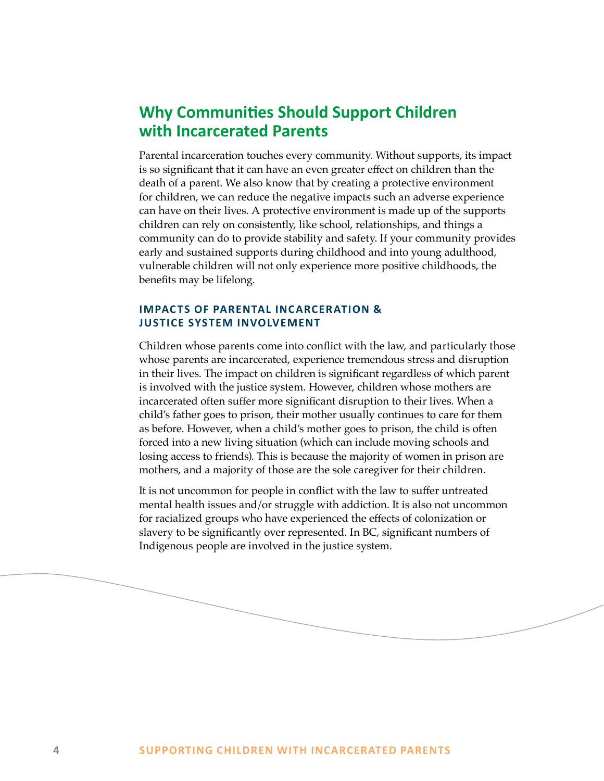# <span id="page-3-0"></span>**Why Communities Should Support Children with Incarcerated Parents**

Parental incarceration touches every community. Without supports, its impact is so significant that it can have an even greater effect on children than the death of a parent. We also know that by creating a protective environment for children, we can reduce the negative impacts such an adverse experience can have on their lives. A protective environment is made up of the supports children can rely on consistently, like school, relationships, and things a community can do to provide stability and safety. If your community provides early and sustained supports during childhood and into young adulthood, vulnerable children will not only experience more positive childhoods, the benefits may be lifelong.

# **IMPACTS OF PARENTAL INCARCERATION & JUSTICE SYSTEM INVOLVEMENT**

Children whose parents come into conflict with the law, and particularly those whose parents are incarcerated, experience tremendous stress and disruption in their lives. The impact on children is significant regardless of which parent is involved with the justice system. However, children whose mothers are incarcerated often suffer more significant disruption to their lives. When a child's father goes to prison, their mother usually continues to care for them as before. However, when a child's mother goes to prison, the child is often forced into a new living situation (which can include moving schools and losing access to friends). This is because the majority of women in prison are mothers, and a majority of those are the sole caregiver for their children.

It is not uncommon for people in conflict with the law to suffer untreated mental health issues and/or struggle with addiction. It is also not uncommon for racialized groups who have experienced the effects of colonization or slavery to be significantly over represented. In BC, significant numbers of Indigenous people are involved in the justice system.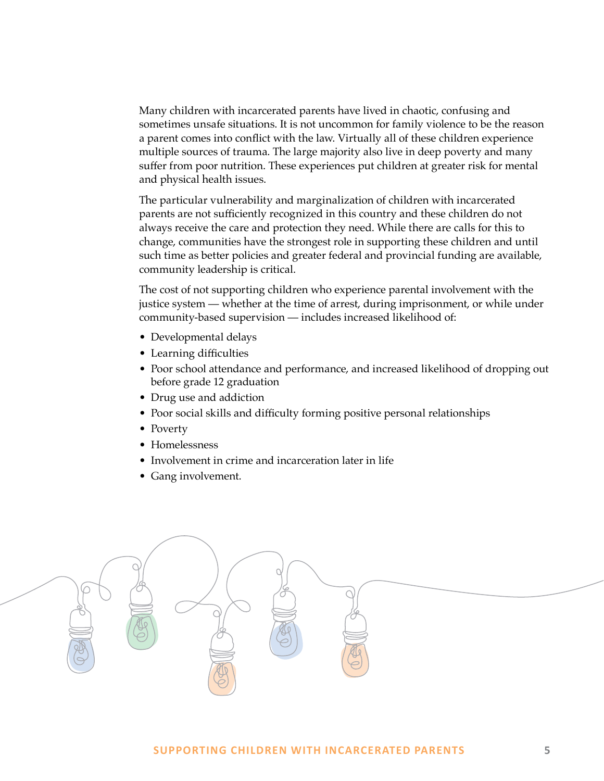Many children with incarcerated parents have lived in chaotic, confusing and sometimes unsafe situations. It is not uncommon for family violence to be the reason a parent comes into conflict with the law. Virtually all of these children experience multiple sources of trauma. The large majority also live in deep poverty and many suffer from poor nutrition. These experiences put children at greater risk for mental and physical health issues.

The particular vulnerability and marginalization of children with incarcerated parents are not sufficiently recognized in this country and these children do not always receive the care and protection they need. While there are calls for this to change, communities have the strongest role in supporting these children and until such time as better policies and greater federal and provincial funding are available, community leadership is critical.

The cost of not supporting children who experience parental involvement with the justice system — whether at the time of arrest, during imprisonment, or while under community-based supervision — includes increased likelihood of:

- Developmental delays
- Learning difficulties
- Poor school attendance and performance, and increased likelihood of dropping out before grade 12 graduation
- Drug use and addiction
- Poor social skills and difficulty forming positive personal relationships
- Poverty
- Homelessness
- Involvement in crime and incarceration later in life
- Gang involvement.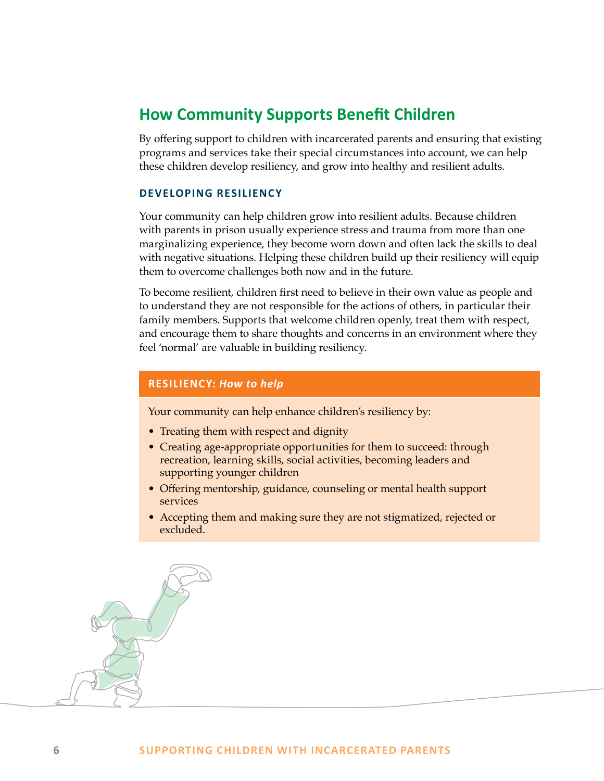# <span id="page-5-0"></span>**How Community Supports Benefit Children**

By offering support to children with incarcerated parents and ensuring that existing programs and services take their special circumstances into account, we can help these children develop resiliency, and grow into healthy and resilient adults.

# **DEVELOPING RESILIENCY**

Your community can help children grow into resilient adults. Because children with parents in prison usually experience stress and trauma from more than one marginalizing experience, they become worn down and often lack the skills to deal with negative situations. Helping these children build up their resiliency will equip them to overcome challenges both now and in the future.

To become resilient, children first need to believe in their own value as people and to understand they are not responsible for the actions of others, in particular their family members. Supports that welcome children openly, treat them with respect, and encourage them to share thoughts and concerns in an environment where they feel 'normal' are valuable in building resiliency.

# **RESILIENCY:** *How to help*

Your community can help enhance children's resiliency by:

- Treating them with respect and dignity
- Creating age-appropriate opportunities for them to succeed: through recreation, learning skills, social activities, becoming leaders and supporting younger children
- Offering mentorship, guidance, counseling or mental health support services
- Accepting them and making sure they are not stigmatized, rejected or excluded.

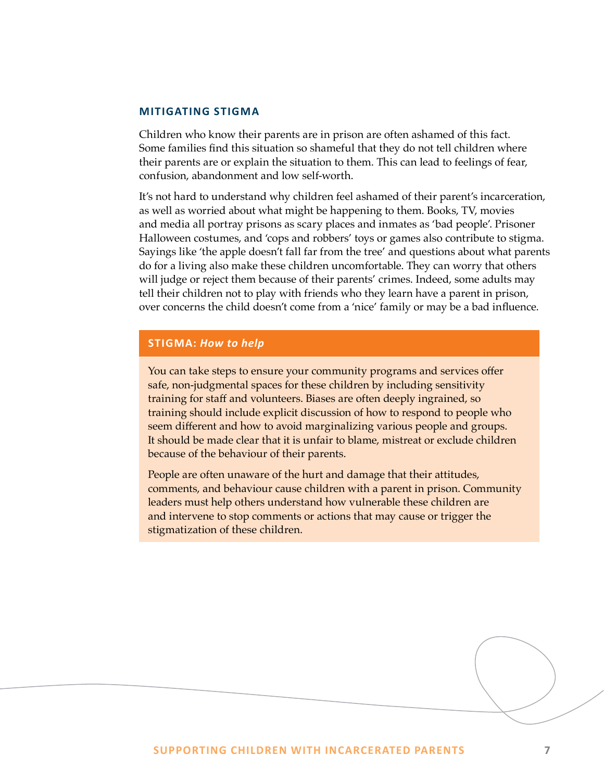### <span id="page-6-0"></span>**MITIGATING STIGMA**

Children who know their parents are in prison are often ashamed of this fact. Some families find this situation so shameful that they do not tell children where their parents are or explain the situation to them. This can lead to feelings of fear, confusion, abandonment and low self-worth.

It's not hard to understand why children feel ashamed of their parent's incarceration, as well as worried about what might be happening to them. Books, TV, movies and media all portray prisons as scary places and inmates as 'bad people'. Prisoner Halloween costumes, and 'cops and robbers' toys or games also contribute to stigma. Sayings like 'the apple doesn't fall far from the tree' and questions about what parents do for a living also make these children uncomfortable. They can worry that others will judge or reject them because of their parents' crimes. Indeed, some adults may tell their children not to play with friends who they learn have a parent in prison, over concerns the child doesn't come from a 'nice' family or may be a bad influence.

# **STIGMA:** *How to help*

You can take steps to ensure your community programs and services offer safe, non-judgmental spaces for these children by including sensitivity training for staff and volunteers. Biases are often deeply ingrained, so training should include explicit discussion of how to respond to people who seem different and how to avoid marginalizing various people and groups. It should be made clear that it is unfair to blame, mistreat or exclude children because of the behaviour of their parents.

People are often unaware of the hurt and damage that their attitudes, comments, and behaviour cause children with a parent in prison. Community leaders must help others understand how vulnerable these children are and intervene to stop comments or actions that may cause or trigger the stigmatization of these children.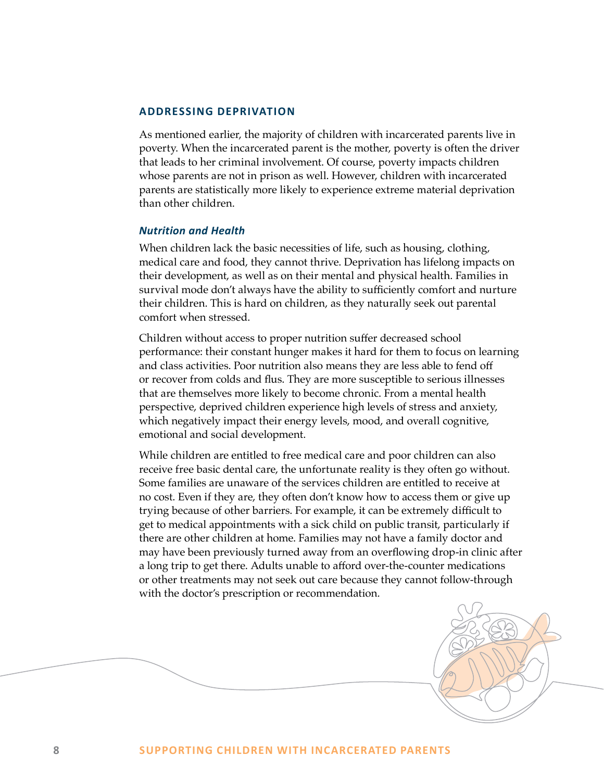## <span id="page-7-0"></span>**ADDRESSING DEPRIVATION**

As mentioned earlier, the majority of children with incarcerated parents live in poverty. When the incarcerated parent is the mother, poverty is often the driver that leads to her criminal involvement. Of course, poverty impacts children whose parents are not in prison as well. However, children with incarcerated parents are statistically more likely to experience extreme material deprivation than other children.

## *Nutrition and Health*

When children lack the basic necessities of life, such as housing, clothing, medical care and food, they cannot thrive. Deprivation has lifelong impacts on their development, as well as on their mental and physical health. Families in survival mode don't always have the ability to sufficiently comfort and nurture their children. This is hard on children, as they naturally seek out parental comfort when stressed.

Children without access to proper nutrition suffer decreased school performance: their constant hunger makes it hard for them to focus on learning and class activities. Poor nutrition also means they are less able to fend off or recover from colds and flus. They are more susceptible to serious illnesses that are themselves more likely to become chronic. From a mental health perspective, deprived children experience high levels of stress and anxiety, which negatively impact their energy levels, mood, and overall cognitive, emotional and social development.

While children are entitled to free medical care and poor children can also receive free basic dental care, the unfortunate reality is they often go without. Some families are unaware of the services children are entitled to receive at no cost. Even if they are, they often don't know how to access them or give up trying because of other barriers. For example, it can be extremely difficult to get to medical appointments with a sick child on public transit, particularly if there are other children at home. Families may not have a family doctor and may have been previously turned away from an overflowing drop-in clinic after a long trip to get there. Adults unable to afford over-the-counter medications or other treatments may not seek out care because they cannot follow-through with the doctor's prescription or recommendation.

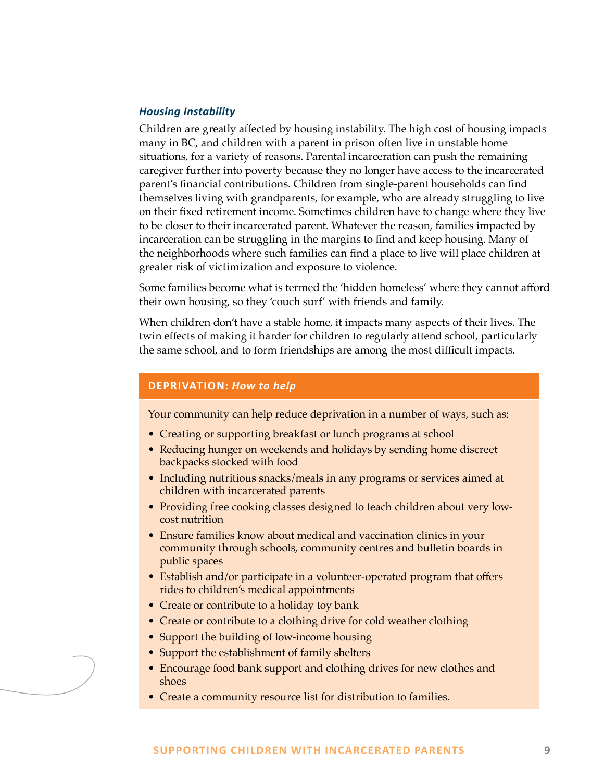# *Housing Instability*

Children are greatly affected by housing instability. The high cost of housing impacts many in BC, and children with a parent in prison often live in unstable home situations, for a variety of reasons. Parental incarceration can push the remaining caregiver further into poverty because they no longer have access to the incarcerated parent's financial contributions. Children from single-parent households can find themselves living with grandparents, for example, who are already struggling to live on their fixed retirement income. Sometimes children have to change where they live to be closer to their incarcerated parent. Whatever the reason, families impacted by incarceration can be struggling in the margins to find and keep housing. Many of the neighborhoods where such families can find a place to live will place children at greater risk of victimization and exposure to violence.

Some families become what is termed the 'hidden homeless' where they cannot afford their own housing, so they 'couch surf' with friends and family.

When children don't have a stable home, it impacts many aspects of their lives. The twin effects of making it harder for children to regularly attend school, particularly the same school, and to form friendships are among the most difficult impacts.

# **DEPRIVATION:** *How to help*

Your community can help reduce deprivation in a number of ways, such as:

- Creating or supporting breakfast or lunch programs at school
- Reducing hunger on weekends and holidays by sending home discreet backpacks stocked with food
- Including nutritious snacks/meals in any programs or services aimed at children with incarcerated parents
- Providing free cooking classes designed to teach children about very lowcost nutrition
- Ensure families know about medical and vaccination clinics in your community through schools, community centres and bulletin boards in public spaces
- Establish and/or participate in a volunteer-operated program that offers rides to children's medical appointments
- Create or contribute to a holiday toy bank
- Create or contribute to a clothing drive for cold weather clothing
- Support the building of low-income housing
- Support the establishment of family shelters
- Encourage food bank support and clothing drives for new clothes and shoes
- Create a community resource list for distribution to families.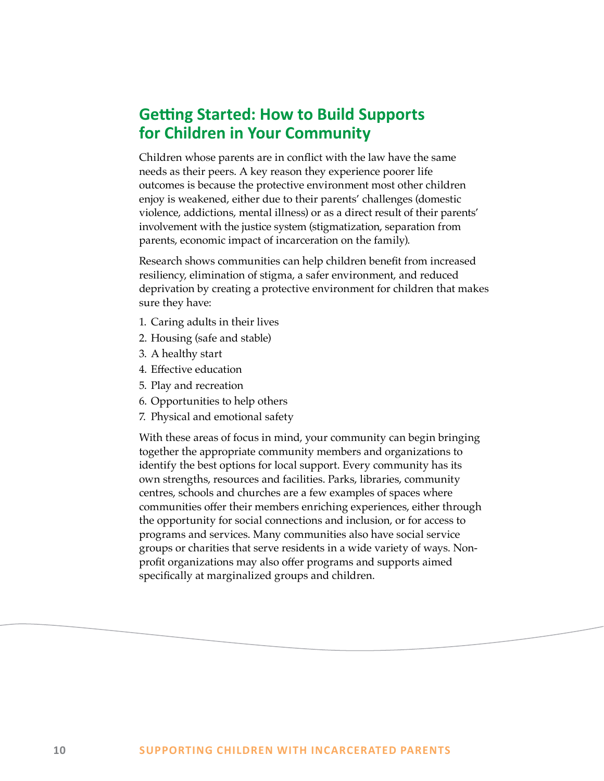# <span id="page-9-0"></span>**Getting Started: How to Build Supports for Children in Your Community**

Children whose parents are in conflict with the law have the same needs as their peers. A key reason they experience poorer life outcomes is because the protective environment most other children enjoy is weakened, either due to their parents' challenges (domestic violence, addictions, mental illness) or as a direct result of their parents' involvement with the justice system (stigmatization, separation from parents, economic impact of incarceration on the family).

Research shows communities can help children benefit from increased resiliency, elimination of stigma, a safer environment, and reduced deprivation by creating a protective environment for children that makes sure they have:

- 1. Caring adults in their lives
- 2. Housing (safe and stable)
- 3. A healthy start
- 4. Effective education
- 5. Play and recreation
- 6. Opportunities to help others
- 7. Physical and emotional safety

With these areas of focus in mind, your community can begin bringing together the appropriate community members and organizations to identify the best options for local support. Every community has its own strengths, resources and facilities. Parks, libraries, community centres, schools and churches are a few examples of spaces where communities offer their members enriching experiences, either through the opportunity for social connections and inclusion, or for access to programs and services. Many communities also have social service groups or charities that serve residents in a wide variety of ways. Nonprofit organizations may also offer programs and supports aimed specifically at marginalized groups and children.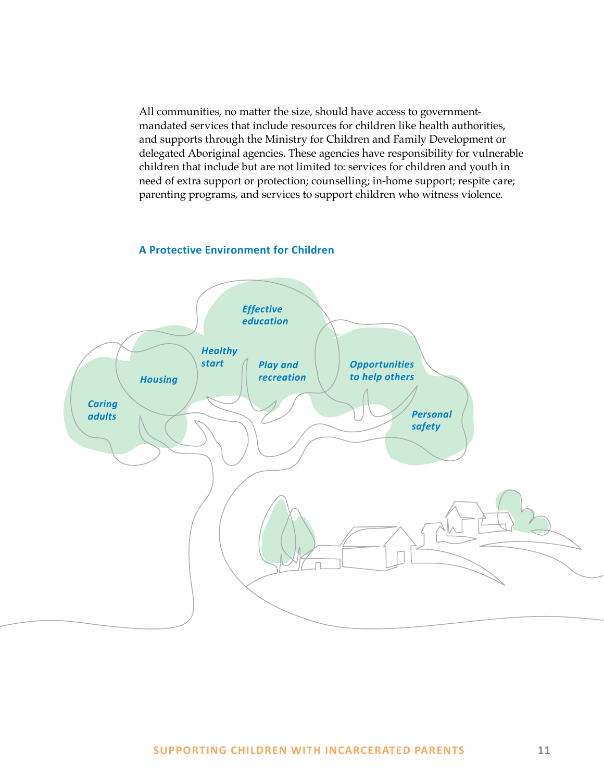All communities, no matter the size, should have access to governmentmandated services that include resources for children like health authorities, and supports through the Ministry for Children and Family Development or delegated Aboriginal agencies. These agencies have responsibility for vulnerable children that include but are not limited to: services for children and youth in need of extra support or protection; counselling; in-home support; respite care; parenting programs, and services to support children who witness violence.

# **A Protective Environment for Children**

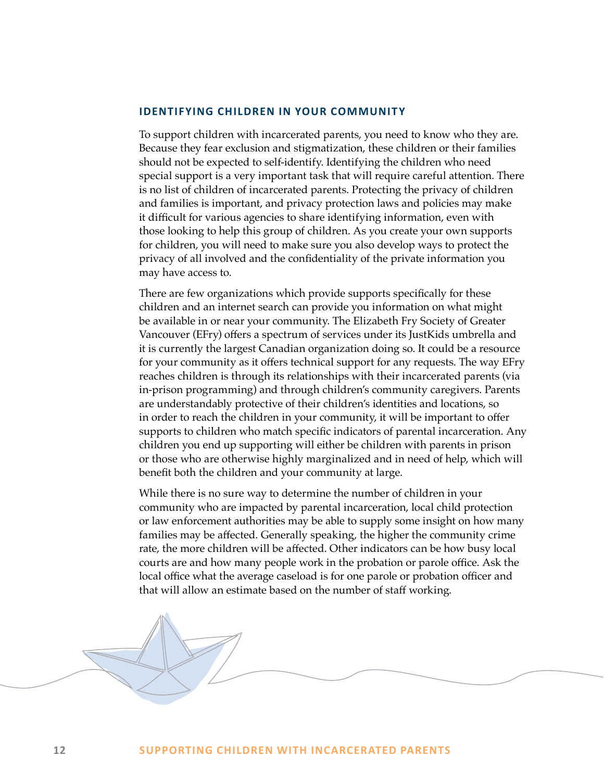### <span id="page-11-0"></span>**IDENTIFYING CHILDREN IN YOUR COMMUNITY**

To support children with incarcerated parents, you need to know who they are. Because they fear exclusion and stigmatization, these children or their families should not be expected to self-identify. Identifying the children who need special support is a very important task that will require careful attention. There is no list of children of incarcerated parents. Protecting the privacy of children and families is important, and privacy protection laws and policies may make it difficult for various agencies to share identifying information, even with those looking to help this group of children. As you create your own supports for children, you will need to make sure you also develop ways to protect the privacy of all involved and the confidentiality of the private information you may have access to.

There are few organizations which provide supports specifically for these children and an internet search can provide you information on what might be available in or near your community. The Elizabeth Fry Society of Greater Vancouver (EFry) offers a spectrum of services under its JustKids umbrella and it is currently the largest Canadian organization doing so. It could be a resource for your community as it offers technical support for any requests. The way EFry reaches children is through its relationships with their incarcerated parents (via in-prison programming) and through children's community caregivers. Parents are understandably protective of their children's identities and locations, so in order to reach the children in your community, it will be important to offer supports to children who match specific indicators of parental incarceration. Any children you end up supporting will either be children with parents in prison or those who are otherwise highly marginalized and in need of help, which will benefit both the children and your community at large.

While there is no sure way to determine the number of children in your community who are impacted by parental incarceration, local child protection or law enforcement authorities may be able to supply some insight on how many families may be affected. Generally speaking, the higher the community crime rate, the more children will be affected. Other indicators can be how busy local courts are and how many people work in the probation or parole office. Ask the local office what the average caseload is for one parole or probation officer and that will allow an estimate based on the number of staff working.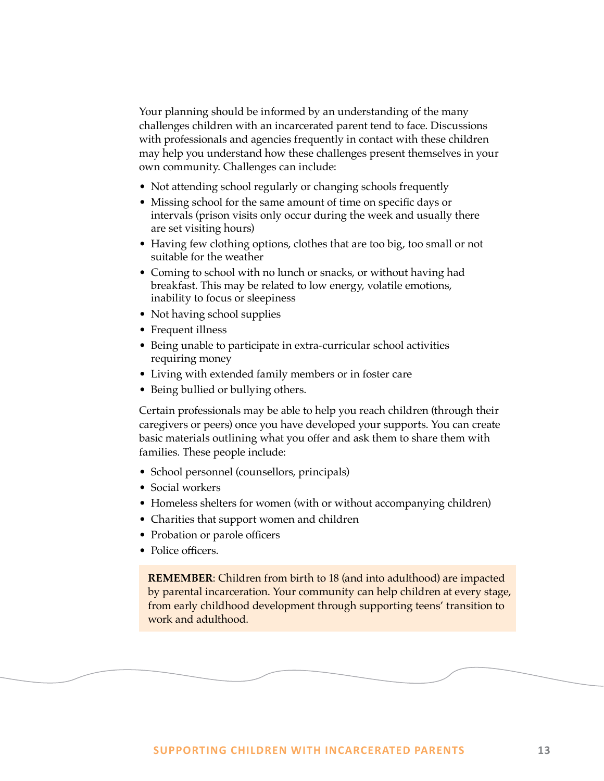<span id="page-12-0"></span>Your planning should be informed by an understanding of the many challenges children with an incarcerated parent tend to face. Discussions with professionals and agencies frequently in contact with these children may help you understand how these challenges present themselves in your own community. Challenges can include:

- Not attending school regularly or changing schools frequently
- Missing school for the same amount of time on specific days or intervals (prison visits only occur during the week and usually there are set visiting hours)
- Having few clothing options, clothes that are too big, too small or not suitable for the weather
- Coming to school with no lunch or snacks, or without having had breakfast. This may be related to low energy, volatile emotions, inability to focus or sleepiness
- Not having school supplies
- Frequent illness
- Being unable to participate in extra-curricular school activities requiring money
- Living with extended family members or in foster care
- Being bullied or bullying others.

Certain professionals may be able to help you reach children (through their caregivers or peers) once you have developed your supports. You can create basic materials outlining what you offer and ask them to share them with families. These people include:

- School personnel (counsellors, principals)
- Social workers
- Homeless shelters for women (with or without accompanying children)
- Charities that support women and children
- Probation or parole officers
- Police officers.

**REMEMBER**: Children from birth to 18 (and into adulthood) are impacted by parental incarceration. Your community can help children at every stage, from early childhood development through supporting teens' transition to work and adulthood.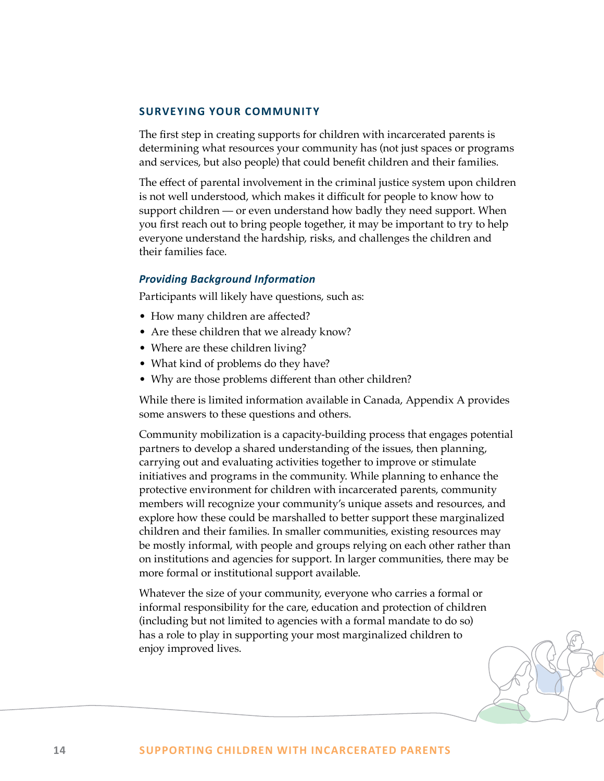### **SURVEYING YOUR COMMUNITY**

The first step in creating supports for children with incarcerated parents is determining what resources your community has (not just spaces or programs and services, but also people) that could benefit children and their families.

The effect of parental involvement in the criminal justice system upon children is not well understood, which makes it difficult for people to know how to support children — or even understand how badly they need support. When you first reach out to bring people together, it may be important to try to help everyone understand the hardship, risks, and challenges the children and their families face.

## *Providing Background Information*

Participants will likely have questions, such as:

- How many children are affected?
- Are these children that we already know?
- Where are these children living?
- What kind of problems do they have?
- Why are those problems different than other children?

While there is limited information available in Canada, Appendix A provides some answers to these questions and others.

Community mobilization is a capacity-building process that engages potential partners to develop a shared understanding of the issues, then planning, carrying out and evaluating activities together to improve or stimulate initiatives and programs in the community. While planning to enhance the protective environment for children with incarcerated parents, community members will recognize your community's unique assets and resources, and explore how these could be marshalled to better support these marginalized children and their families. In smaller communities, existing resources may be mostly informal, with people and groups relying on each other rather than on institutions and agencies for support. In larger communities, there may be more formal or institutional support available.

Whatever the size of your community, everyone who carries a formal or informal responsibility for the care, education and protection of children (including but not limited to agencies with a formal mandate to do so) has a role to play in supporting your most marginalized children to enjoy improved lives.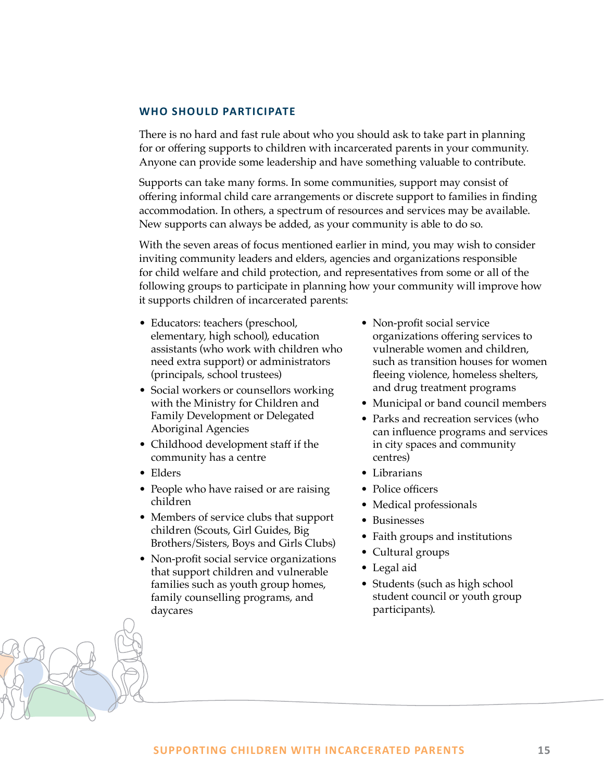# <span id="page-14-0"></span>**WHO SHOULD PARTICIPATE**

There is no hard and fast rule about who you should ask to take part in planning for or offering supports to children with incarcerated parents in your community. Anyone can provide some leadership and have something valuable to contribute.

Supports can take many forms. In some communities, support may consist of offering informal child care arrangements or discrete support to families in finding accommodation. In others, a spectrum of resources and services may be available. New supports can always be added, as your community is able to do so.

With the seven areas of focus mentioned earlier in mind, you may wish to consider inviting community leaders and elders, agencies and organizations responsible for child welfare and child protection, and representatives from some or all of the following groups to participate in planning how your community will improve how it supports children of incarcerated parents:

- Educators: teachers (preschool, elementary, high school), education assistants (who work with children who need extra support) or administrators (principals, school trustees)
- Social workers or counsellors working with the Ministry for Children and Family Development or Delegated Aboriginal Agencies
- Childhood development staff if the community has a centre
- Elders
- People who have raised or are raising children
- Members of service clubs that support children (Scouts, Girl Guides, Big Brothers/Sisters, Boys and Girls Clubs)
- Non-profit social service organizations that support children and vulnerable families such as youth group homes, family counselling programs, and daycares
- Non-profit social service organizations offering services to vulnerable women and children, such as transition houses for women fleeing violence, homeless shelters, and drug treatment programs
- Municipal or band council members
- Parks and recreation services (who can influence programs and services in city spaces and community centres)
- Librarians
- Police officers
- Medical professionals
- Businesses
- Faith groups and institutions
- Cultural groups
- Legal aid
- Students (such as high school student council or youth group participants).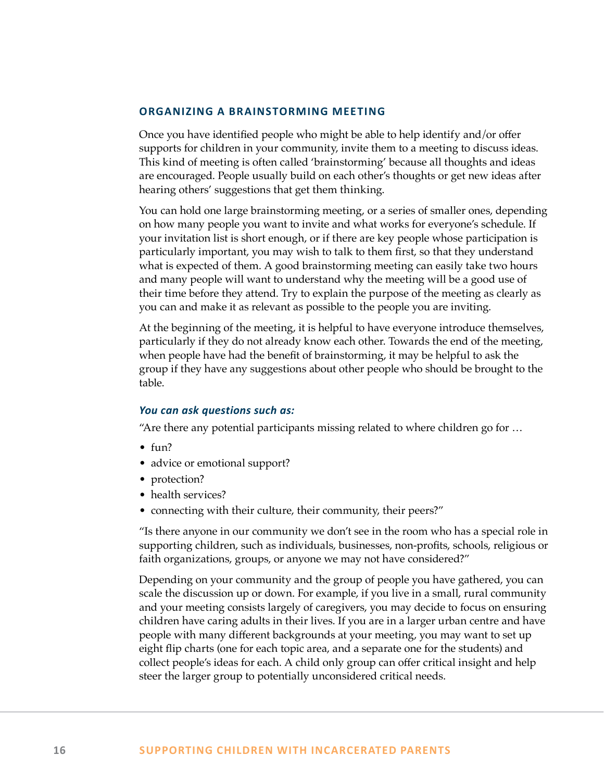### <span id="page-15-0"></span>**ORGANIZING A BRAINSTORMING MEETING**

Once you have identified people who might be able to help identify and/or offer supports for children in your community, invite them to a meeting to discuss ideas. This kind of meeting is often called 'brainstorming' because all thoughts and ideas are encouraged. People usually build on each other's thoughts or get new ideas after hearing others' suggestions that get them thinking.

You can hold one large brainstorming meeting, or a series of smaller ones, depending on how many people you want to invite and what works for everyone's schedule. If your invitation list is short enough, or if there are key people whose participation is particularly important, you may wish to talk to them first, so that they understand what is expected of them. A good brainstorming meeting can easily take two hours and many people will want to understand why the meeting will be a good use of their time before they attend. Try to explain the purpose of the meeting as clearly as you can and make it as relevant as possible to the people you are inviting.

At the beginning of the meeting, it is helpful to have everyone introduce themselves, particularly if they do not already know each other. Towards the end of the meeting, when people have had the benefit of brainstorming, it may be helpful to ask the group if they have any suggestions about other people who should be brought to the table.

### *You can ask questions such as:*

"Are there any potential participants missing related to where children go for …

- fun?
- advice or emotional support?
- protection?
- health services?
- connecting with their culture, their community, their peers?"

"Is there anyone in our community we don't see in the room who has a special role in supporting children, such as individuals, businesses, non-profits, schools, religious or faith organizations, groups, or anyone we may not have considered?"

Depending on your community and the group of people you have gathered, you can scale the discussion up or down. For example, if you live in a small, rural community and your meeting consists largely of caregivers, you may decide to focus on ensuring children have caring adults in their lives. If you are in a larger urban centre and have people with many different backgrounds at your meeting, you may want to set up eight flip charts (one for each topic area, and a separate one for the students) and collect people's ideas for each. A child only group can offer critical insight and help steer the larger group to potentially unconsidered critical needs.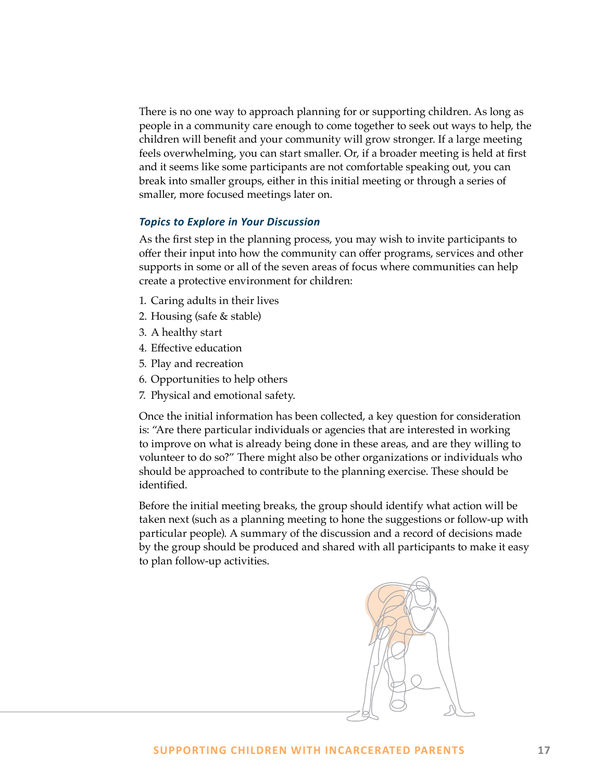There is no one way to approach planning for or supporting children. As long as people in a community care enough to come together to seek out ways to help, the children will benefit and your community will grow stronger. If a large meeting feels overwhelming, you can start smaller. Or, if a broader meeting is held at first and it seems like some participants are not comfortable speaking out, you can break into smaller groups, either in this initial meeting or through a series of smaller, more focused meetings later on.

# *Topics to Explore in Your Discussion*

As the first step in the planning process, you may wish to invite participants to offer their input into how the community can offer programs, services and other supports in some or all of the seven areas of focus where communities can help create a protective environment for children:

- 1. Caring adults in their lives
- 2. Housing (safe & stable)
- 3. A healthy start
- 4. Effective education
- 5. Play and recreation
- 6. Opportunities to help others
- 7. Physical and emotional safety.

Once the initial information has been collected, a key question for consideration is: "Are there particular individuals or agencies that are interested in working to improve on what is already being done in these areas, and are they willing to volunteer to do so?" There might also be other organizations or individuals who should be approached to contribute to the planning exercise. These should be identified.

Before the initial meeting breaks, the group should identify what action will be taken next (such as a planning meeting to hone the suggestions or follow-up with particular people). A summary of the discussion and a record of decisions made by the group should be produced and shared with all participants to make it easy to plan follow-up activities.

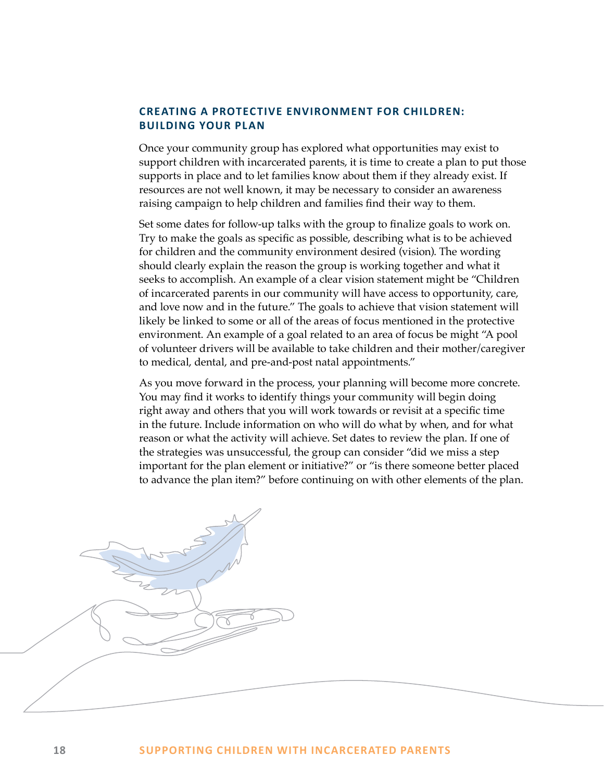# <span id="page-17-0"></span>**CREATING A PROTECTIVE ENVIRONMENT FOR CHILDREN: BUILDING YOUR PLAN**

Once your community group has explored what opportunities may exist to support children with incarcerated parents, it is time to create a plan to put those supports in place and to let families know about them if they already exist. If resources are not well known, it may be necessary to consider an awareness raising campaign to help children and families find their way to them.

Set some dates for follow-up talks with the group to finalize goals to work on. Try to make the goals as specific as possible, describing what is to be achieved for children and the community environment desired (vision). The wording should clearly explain the reason the group is working together and what it seeks to accomplish. An example of a clear vision statement might be "Children of incarcerated parents in our community will have access to opportunity, care, and love now and in the future." The goals to achieve that vision statement will likely be linked to some or all of the areas of focus mentioned in the protective environment. An example of a goal related to an area of focus be might "A pool of volunteer drivers will be available to take children and their mother/caregiver to medical, dental, and pre-and-post natal appointments."

As you move forward in the process, your planning will become more concrete. You may find it works to identify things your community will begin doing right away and others that you will work towards or revisit at a specific time in the future. Include information on who will do what by when, and for what reason or what the activity will achieve. Set dates to review the plan. If one of the strategies was unsuccessful, the group can consider "did we miss a step important for the plan element or initiative?" or "is there someone better placed to advance the plan item?" before continuing on with other elements of the plan.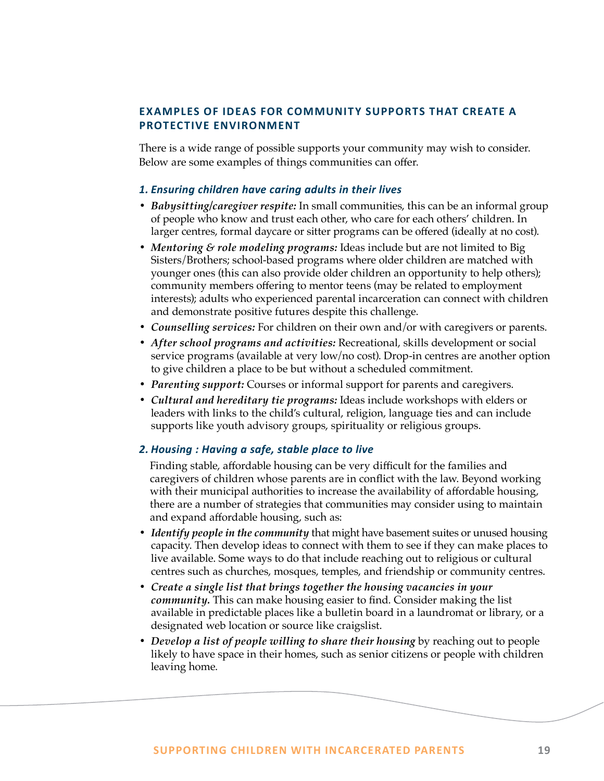# <span id="page-18-0"></span>**EXAMPLES OF IDEAS FOR COMMUNITY SUPPORTS THAT CREATE A PROTECTIVE ENVIRONMENT**

There is a wide range of possible supports your community may wish to consider. Below are some examples of things communities can offer.

# *1. Ensuring children have caring adults in their lives*

- *• Babysitting/caregiver respite:* In small communities, this can be an informal group of people who know and trust each other, who care for each others' children. In larger centres, formal daycare or sitter programs can be offered (ideally at no cost).
- *• Mentoring & role modeling programs:* Ideas include but are not limited to Big Sisters/Brothers; school-based programs where older children are matched with younger ones (this can also provide older children an opportunity to help others); community members offering to mentor teens (may be related to employment interests); adults who experienced parental incarceration can connect with children and demonstrate positive futures despite this challenge.
- *• Counselling services:* For children on their own and/or with caregivers or parents.
- *• After school programs and activities:* Recreational, skills development or social service programs (available at very low/no cost). Drop-in centres are another option to give children a place to be but without a scheduled commitment.
- *• Parenting support:* Courses or informal support for parents and caregivers.
- *• Cultural and hereditary tie programs:* Ideas include workshops with elders or leaders with links to the child's cultural, religion, language ties and can include supports like youth advisory groups, spirituality or religious groups.

# *2. Housing : Having a safe, stable place to live*

Finding stable, affordable housing can be very difficult for the families and caregivers of children whose parents are in conflict with the law. Beyond working with their municipal authorities to increase the availability of affordable housing, there are a number of strategies that communities may consider using to maintain and expand affordable housing, such as:

- *• Identify people in the community* that might have basement suites or unused housing capacity. Then develop ideas to connect with them to see if they can make places to live available. Some ways to do that include reaching out to religious or cultural centres such as churches, mosques, temples, and friendship or community centres.
- *• Create a single list that brings together the housing vacancies in your community.* This can make housing easier to find. Consider making the list available in predictable places like a bulletin board in a laundromat or library, or a designated web location or source like craigslist.
- *• Develop a list of people willing to share their housing* by reaching out to people likely to have space in their homes, such as senior citizens or people with children leaving home.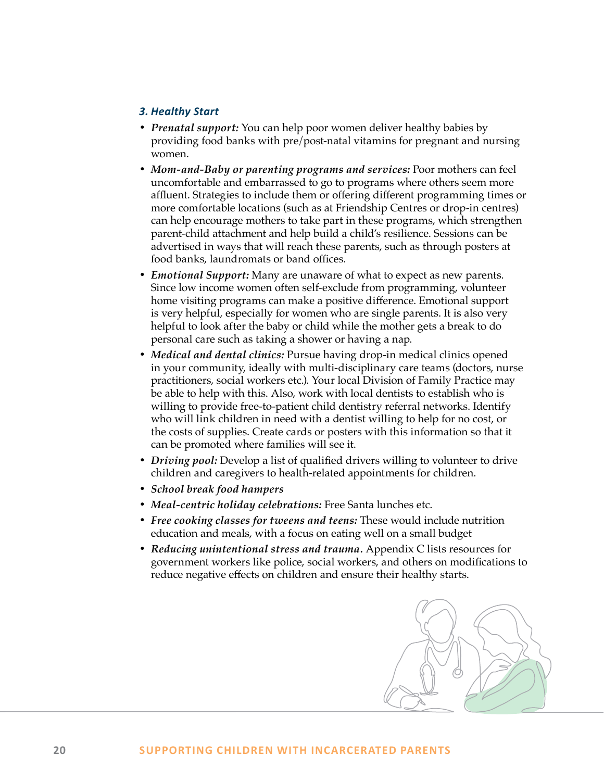# *3. Healthy Start*

- *• Prenatal support:* You can help poor women deliver healthy babies by providing food banks with pre/post-natal vitamins for pregnant and nursing women.
- *• Mom-and-Baby or parenting programs and services:* Poor mothers can feel uncomfortable and embarrassed to go to programs where others seem more affluent. Strategies to include them or offering different programming times or more comfortable locations (such as at Friendship Centres or drop-in centres) can help encourage mothers to take part in these programs, which strengthen parent-child attachment and help build a child's resilience. Sessions can be advertised in ways that will reach these parents, such as through posters at food banks, laundromats or band offices.
- *• Emotional Support:* Many are unaware of what to expect as new parents. Since low income women often self-exclude from programming, volunteer home visiting programs can make a positive difference. Emotional support is very helpful, especially for women who are single parents. It is also very helpful to look after the baby or child while the mother gets a break to do personal care such as taking a shower or having a nap.
- *• Medical and dental clinics:* Pursue having drop-in medical clinics opened in your community, ideally with multi-disciplinary care teams (doctors, nurse practitioners, social workers etc.). Your local Division of Family Practice may be able to help with this. Also, work with local dentists to establish who is willing to provide free-to-patient child dentistry referral networks. Identify who will link children in need with a dentist willing to help for no cost, or the costs of supplies. Create cards or posters with this information so that it can be promoted where families will see it.
- *• Driving pool:* Develop a list of qualified drivers willing to volunteer to drive children and caregivers to health-related appointments for children.
- *• School break food hampers*
- *• Meal-centric holiday celebrations:* Free Santa lunches etc.
- *• Free cooking classes for tweens and teens:* These would include nutrition education and meals, with a focus on eating well on a small budget
- *• Reducing unintentional stress and trauma.* Appendix C lists resources for government workers like police, social workers, and others on modifications to reduce negative effects on children and ensure their healthy starts.

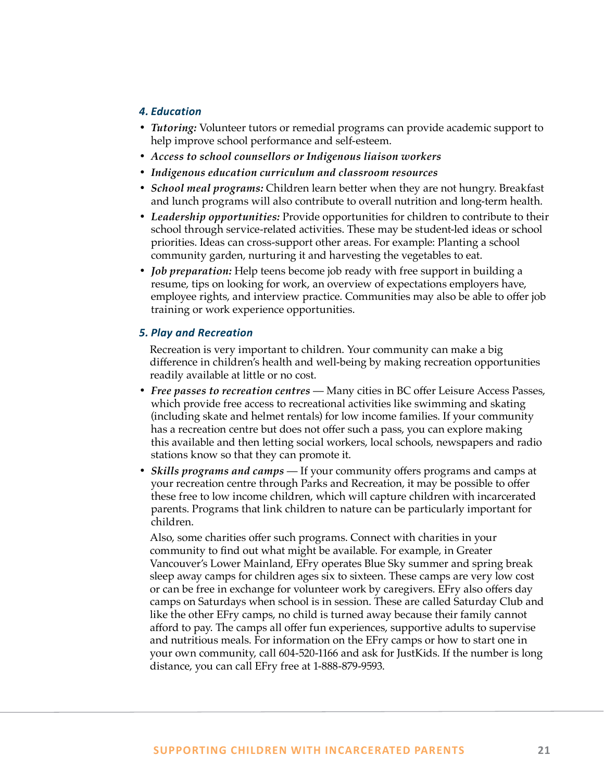# *4. Education*

- *• Tutoring:* Volunteer tutors or remedial programs can provide academic support to help improve school performance and self-esteem.
- *• Access to school counsellors or Indigenous liaison workers*
- *• Indigenous education curriculum and classroom resources*
- *• School meal programs:* Children learn better when they are not hungry. Breakfast and lunch programs will also contribute to overall nutrition and long-term health.
- *• Leadership opportunities:* Provide opportunities for children to contribute to their school through service-related activities. These may be student-led ideas or school priorities. Ideas can cross-support other areas. For example: Planting a school community garden, nurturing it and harvesting the vegetables to eat.
- *• Job preparation:* Help teens become job ready with free support in building a resume, tips on looking for work, an overview of expectations employers have, employee rights, and interview practice. Communities may also be able to offer job training or work experience opportunities.

# *5. Play and Recreation*

Recreation is very important to children. Your community can make a big difference in children's health and well-being by making recreation opportunities readily available at little or no cost.

- *• Free passes to recreation centres* Many cities in BC offer Leisure Access Passes, which provide free access to recreational activities like swimming and skating (including skate and helmet rentals) for low income families. If your community has a recreation centre but does not offer such a pass, you can explore making this available and then letting social workers, local schools, newspapers and radio stations know so that they can promote it.
- *• Skills programs and camps* If your community offers programs and camps at your recreation centre through Parks and Recreation, it may be possible to offer these free to low income children, which will capture children with incarcerated parents. Programs that link children to nature can be particularly important for children.

Also, some charities offer such programs. Connect with charities in your community to find out what might be available. For example, in Greater Vancouver's Lower Mainland, EFry operates Blue Sky summer and spring break sleep away camps for children ages six to sixteen. These camps are very low cost or can be free in exchange for volunteer work by caregivers. EFry also offers day camps on Saturdays when school is in session. These are called Saturday Club and like the other EFry camps, no child is turned away because their family cannot afford to pay. The camps all offer fun experiences, supportive adults to supervise and nutritious meals. For information on the EFry camps or how to start one in your own community, call 604-520-1166 and ask for JustKids. If the number is long distance, you can call EFry free at 1-888-879-9593.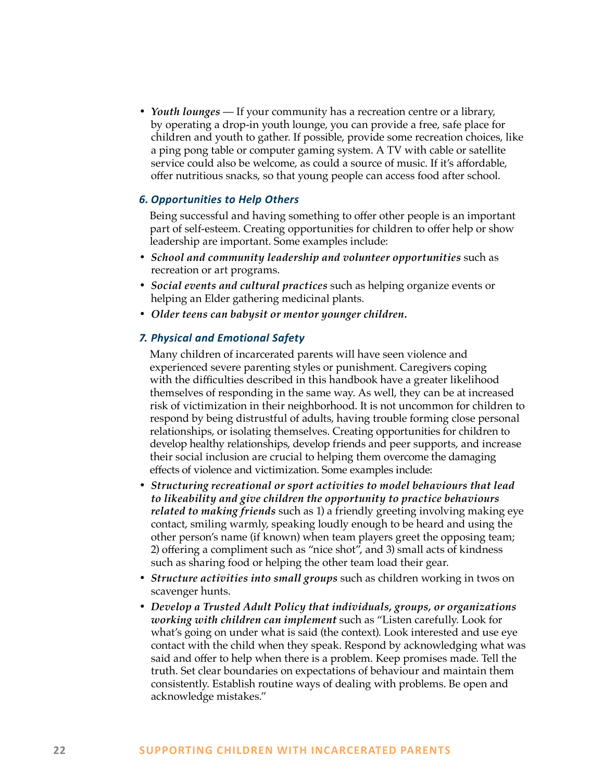*• Youth lounges* — If your community has a recreation centre or a library, by operating a drop-in youth lounge, you can provide a free, safe place for children and youth to gather. If possible, provide some recreation choices, like a ping pong table or computer gaming system. A TV with cable or satellite service could also be welcome, as could a source of music. If it's affordable, offer nutritious snacks, so that young people can access food after school.

# *6. Opportunities to Help Others*

Being successful and having something to offer other people is an important part of self-esteem. Creating opportunities for children to offer help or show leadership are important. Some examples include:

- *• School and community leadership and volunteer opportunities* such as recreation or art programs.
- *• Social events and cultural practices* such as helping organize events or helping an Elder gathering medicinal plants.
- *• Older teens can babysit or mentor younger children.*

## *7. Physical and Emotional Safety*

Many children of incarcerated parents will have seen violence and experienced severe parenting styles or punishment. Caregivers coping with the difficulties described in this handbook have a greater likelihood themselves of responding in the same way. As well, they can be at increased risk of victimization in their neighborhood. It is not uncommon for children to respond by being distrustful of adults, having trouble forming close personal relationships, or isolating themselves. Creating opportunities for children to develop healthy relationships, develop friends and peer supports, and increase their social inclusion are crucial to helping them overcome the damaging effects of violence and victimization. Some examples include:

- *• Structuring recreational or sport activities to model behaviours that lead to likeability and give children the opportunity to practice behaviours related to making friends* such as 1) a friendly greeting involving making eye contact, smiling warmly, speaking loudly enough to be heard and using the other person's name (if known) when team players greet the opposing team; 2) offering a compliment such as "nice shot", and 3) small acts of kindness such as sharing food or helping the other team load their gear.
- *• Structure activities into small groups* such as children working in twos on scavenger hunts.
- *• Develop a Trusted Adult Policy that individuals, groups, or organizations working with children can implement* such as "Listen carefully. Look for what's going on under what is said (the context). Look interested and use eye contact with the child when they speak. Respond by acknowledging what was said and offer to help when there is a problem. Keep promises made. Tell the truth. Set clear boundaries on expectations of behaviour and maintain them consistently. Establish routine ways of dealing with problems. Be open and acknowledge mistakes."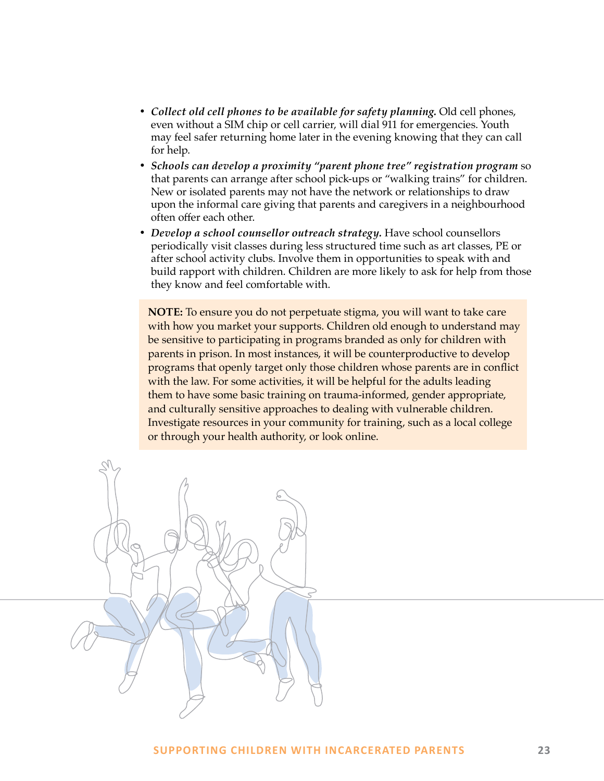- *• Collect old cell phones to be available for safety planning.* Old cell phones, even without a SIM chip or cell carrier, will dial 911 for emergencies. Youth may feel safer returning home later in the evening knowing that they can call for help.
- *• Schools can develop a proximity "parent phone tree" registration program* so that parents can arrange after school pick-ups or "walking trains" for children. New or isolated parents may not have the network or relationships to draw upon the informal care giving that parents and caregivers in a neighbourhood often offer each other.
- *• Develop a school counsellor outreach strategy.* Have school counsellors periodically visit classes during less structured time such as art classes, PE or after school activity clubs. Involve them in opportunities to speak with and build rapport with children. Children are more likely to ask for help from those they know and feel comfortable with.

**NOTE:** To ensure you do not perpetuate stigma, you will want to take care with how you market your supports. Children old enough to understand may be sensitive to participating in programs branded as only for children with parents in prison. In most instances, it will be counterproductive to develop programs that openly target only those children whose parents are in conflict with the law. For some activities, it will be helpful for the adults leading them to have some basic training on trauma-informed, gender appropriate, and culturally sensitive approaches to dealing with vulnerable children. Investigate resources in your community for training, such as a local college or through your health authority, or look online.

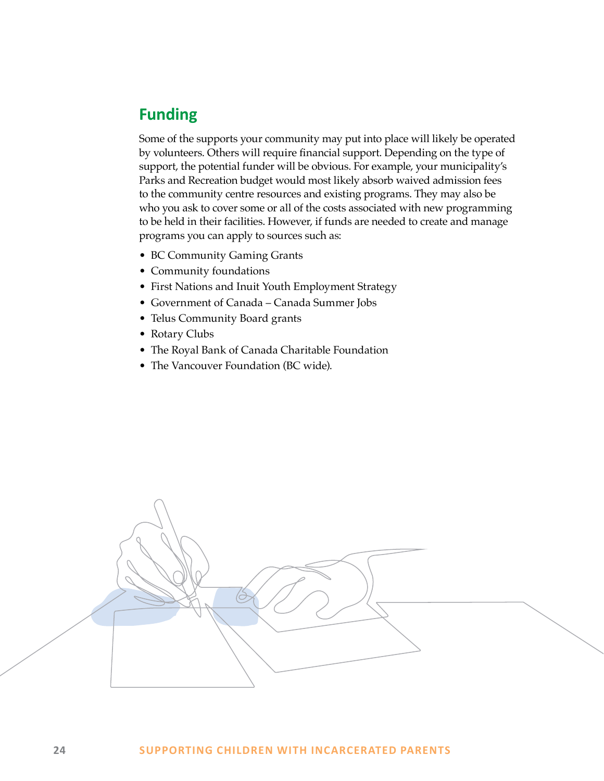# <span id="page-23-0"></span>**Funding**

Some of the supports your community may put into place will likely be operated by volunteers. Others will require financial support. Depending on the type of support, the potential funder will be obvious. For example, your municipality's Parks and Recreation budget would most likely absorb waived admission fees to the community centre resources and existing programs. They may also be who you ask to cover some or all of the costs associated with new programming to be held in their facilities. However, if funds are needed to create and manage programs you can apply to sources such as:

- BC Community Gaming Grants
- Community foundations
- First Nations and Inuit Youth Employment Strategy
- Government of Canada Canada Summer Jobs
- Telus Community Board grants
- Rotary Clubs
- The Royal Bank of Canada Charitable Foundation
- The Vancouver Foundation (BC wide).

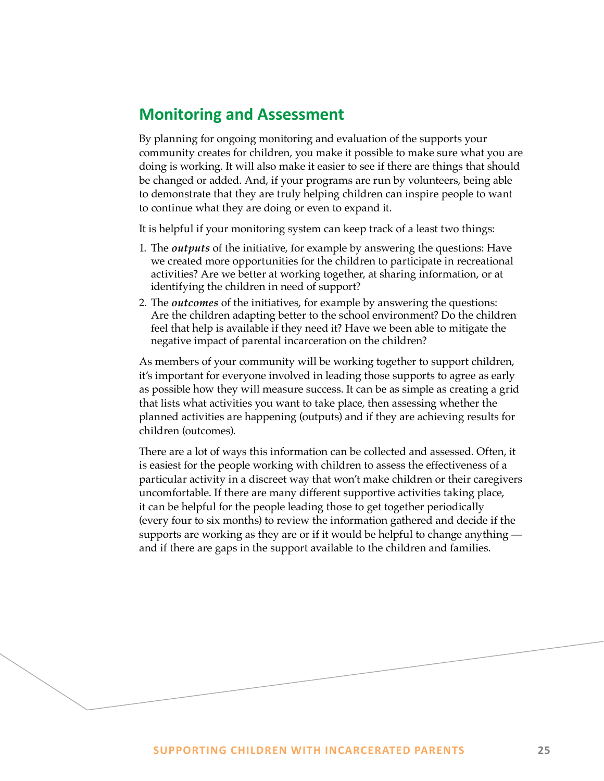# <span id="page-24-0"></span>**Monitoring and Assessment**

By planning for ongoing monitoring and evaluation of the supports your community creates for children, you make it possible to make sure what you are doing is working. It will also make it easier to see if there are things that should be changed or added. And, if your programs are run by volunteers, being able to demonstrate that they are truly helping children can inspire people to want to continue what they are doing or even to expand it.

It is helpful if your monitoring system can keep track of a least two things:

- 1. The *outputs* of the initiative, for example by answering the questions: Have we created more opportunities for the children to participate in recreational activities? Are we better at working together, at sharing information, or at identifying the children in need of support?
- 2. The *outcomes* of the initiatives, for example by answering the questions: Are the children adapting better to the school environment? Do the children feel that help is available if they need it? Have we been able to mitigate the negative impact of parental incarceration on the children?

As members of your community will be working together to support children, it's important for everyone involved in leading those supports to agree as early as possible how they will measure success. It can be as simple as creating a grid that lists what activities you want to take place, then assessing whether the planned activities are happening (outputs) and if they are achieving results for children (outcomes).

There are a lot of ways this information can be collected and assessed. Often, it is easiest for the people working with children to assess the effectiveness of a particular activity in a discreet way that won't make children or their caregivers uncomfortable. If there are many different supportive activities taking place, it can be helpful for the people leading those to get together periodically (every four to six months) to review the information gathered and decide if the supports are working as they are or if it would be helpful to change anything and if there are gaps in the support available to the children and families.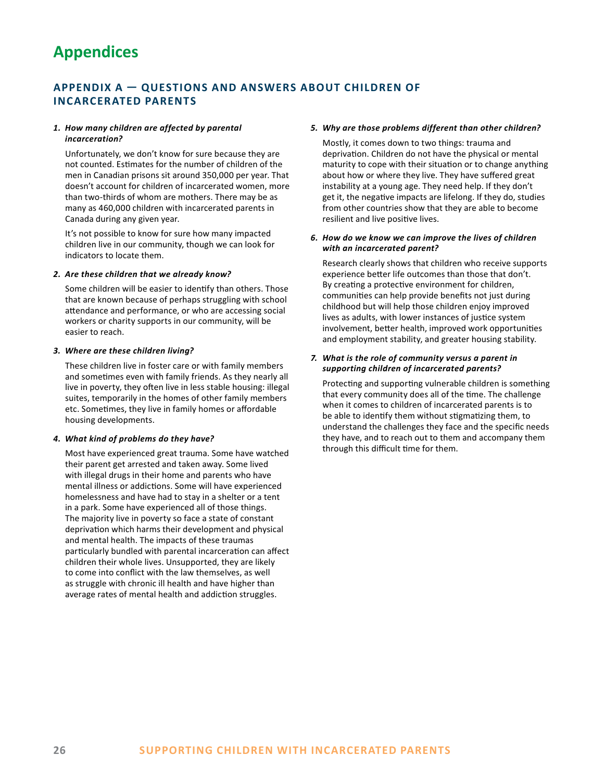# <span id="page-25-0"></span>**Appendices**

# **APPENDIX A — QUESTIONS AND ANSWERS ABOUT CHILDREN OF INCARCERATED PARENTS**

#### *1. How many children are affected by parental incarceration?*

Unfortunately, we don't know for sure because they are not counted. Estimates for the number of children of the men in Canadian prisons sit around 350,000 per year. That doesn't account for children of incarcerated women, more than two-thirds of whom are mothers. There may be as many as 460,000 children with incarcerated parents in Canada during any given year.

It's not possible to know for sure how many impacted children live in our community, though we can look for indicators to locate them.

#### *2. Are these children that we already know?*

Some children will be easier to identify than others. Those that are known because of perhaps struggling with school attendance and performance, or who are accessing social workers or charity supports in our community, will be easier to reach.

#### *3. Where are these children living?*

These children live in foster care or with family members and sometimes even with family friends. As they nearly all live in poverty, they often live in less stable housing: illegal suites, temporarily in the homes of other family members etc. Sometimes, they live in family homes or affordable housing developments.

#### *4. What kind of problems do they have?*

Most have experienced great trauma. Some have watched their parent get arrested and taken away. Some lived with illegal drugs in their home and parents who have mental illness or addictions. Some will have experienced homelessness and have had to stay in a shelter or a tent in a park. Some have experienced all of those things. The majority live in poverty so face a state of constant deprivation which harms their development and physical and mental health. The impacts of these traumas particularly bundled with parental incarceration can affect children their whole lives. Unsupported, they are likely to come into conflict with the law themselves, as well as struggle with chronic ill health and have higher than average rates of mental health and addiction struggles.

#### *5. Why are those problems different than other children?*

Mostly, it comes down to two things: trauma and deprivation. Children do not have the physical or mental maturity to cope with their situation or to change anything about how or where they live. They have suffered great instability at a young age. They need help. If they don't get it, the negative impacts are lifelong. If they do, studies from other countries show that they are able to become resilient and live positive lives.

#### *6. How do we know we can improve the lives of children with an incarcerated parent?*

Research clearly shows that children who receive supports experience better life outcomes than those that don't. By creating a protective environment for children, communities can help provide benefits not just during childhood but will help those children enjoy improved lives as adults, with lower instances of justice system involvement, better health, improved work opportunities and employment stability, and greater housing stability.

#### *7. What is the role of community versus a parent in supporting children of incarcerated parents?*

Protecting and supporting vulnerable children is something that every community does all of the time. The challenge when it comes to children of incarcerated parents is to be able to identify them without stigmatizing them, to understand the challenges they face and the specific needs they have, and to reach out to them and accompany them through this difficult time for them.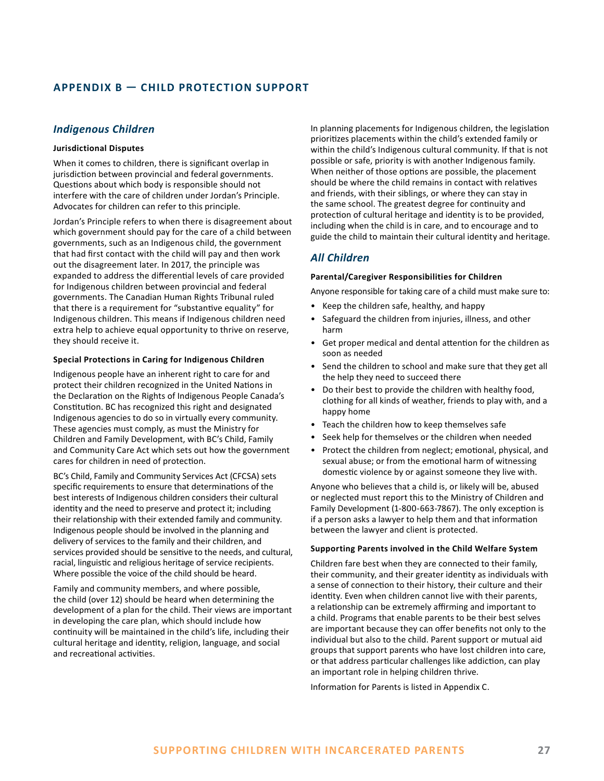# <span id="page-26-0"></span>**APPENDIX B — CHILD PROTECTION SUPPORT**

# *Indigenous Children*

#### **Jurisdictional Disputes**

When it comes to children, there is significant overlap in jurisdiction between provincial and federal governments. Questions about which body is responsible should not interfere with the care of children under Jordan's Principle. Advocates for children can refer to this principle.

Jordan's Principle refers to when there is disagreement about which government should pay for the care of a child between governments, such as an Indigenous child, the government that had first contact with the child will pay and then work out the disagreement later. In 2017, the principle was expanded to address the differential levels of care provided for Indigenous children between provincial and federal governments. The Canadian Human Rights Tribunal ruled that there is a requirement for "substantive equality" for Indigenous children. This means if Indigenous children need extra help to achieve equal opportunity to thrive on reserve, they should receive it.

#### **Special Protections in Caring for Indigenous Children**

Indigenous people have an inherent right to care for and protect their children recognized in the United Nations in the Declaration on the Rights of Indigenous People Canada's Constitution. BC has recognized this right and designated Indigenous agencies to do so in virtually every community. These agencies must comply, as must the Ministry for Children and Family Development, with BC's Child, Family and Community Care Act which sets out how the government cares for children in need of protection.

BC's Child, Family and Community Services Act (CFCSA) sets specific requirements to ensure that determinations of the best interests of Indigenous children considers their cultural identity and the need to preserve and protect it; including their relationship with their extended family and community. Indigenous people should be involved in the planning and delivery of services to the family and their children, and services provided should be sensitive to the needs, and cultural, racial, linguistic and religious heritage of service recipients. Where possible the voice of the child should be heard.

Family and community members, and where possible, the child (over 12) should be heard when determining the development of a plan for the child. Their views are important in developing the care plan, which should include how continuity will be maintained in the child's life, including their cultural heritage and identity, religion, language, and social and recreational activities.

In planning placements for Indigenous children, the legislation prioritizes placements within the child's extended family or within the child's Indigenous cultural community. If that is not possible or safe, priority is with another Indigenous family. When neither of those options are possible, the placement should be where the child remains in contact with relatives and friends, with their siblings, or where they can stay in the same school. The greatest degree for continuity and protection of cultural heritage and identity is to be provided, including when the child is in care, and to encourage and to guide the child to maintain their cultural identity and heritage.

# *All Children*

#### **Parental/Caregiver Responsibilities for Children**

Anyone responsible for taking care of a child must make sure to:

- Keep the children safe, healthy, and happy
- Safeguard the children from injuries, illness, and other harm
- Get proper medical and dental attention for the children as soon as needed
- Send the children to school and make sure that they get all the help they need to succeed there
- Do their best to provide the children with healthy food, clothing for all kinds of weather, friends to play with, and a happy home
- Teach the children how to keep themselves safe
- Seek help for themselves or the children when needed
- Protect the children from neglect; emotional, physical, and sexual abuse; or from the emotional harm of witnessing domestic violence by or against someone they live with.

Anyone who believes that a child is, or likely will be, abused or neglected must report this to the Ministry of Children and Family Development (1-800-663-7867). The only exception is if a person asks a lawyer to help them and that information between the lawyer and client is protected.

#### **Supporting Parents involved in the Child Welfare System**

Children fare best when they are connected to their family, their community, and their greater identity as individuals with a sense of connection to their history, their culture and their identity. Even when children cannot live with their parents, a relationship can be extremely affirming and important to a child. Programs that enable parents to be their best selves are important because they can offer benefits not only to the individual but also to the child. Parent support or mutual aid groups that support parents who have lost children into care, or that address particular challenges like addiction, can play an important role in helping children thrive.

Information for Parents is listed in Appendix C.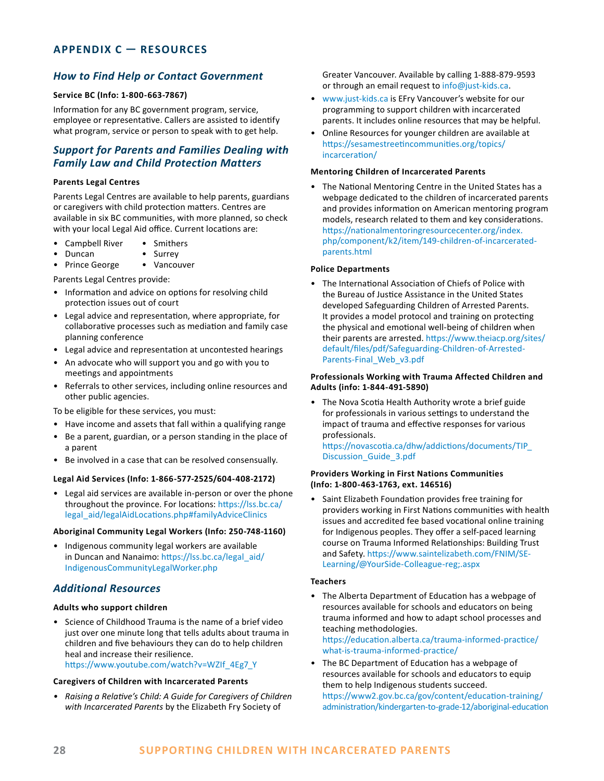# <span id="page-27-0"></span>**APPENDIX C — RESOURCES**

# *How to Find Help or Contact Government*

#### **Service BC (Info: 1-800-663-7867)**

Information for any BC government program, service, employee or representative. Callers are assisted to identify what program, service or person to speak with to get help.

# *Support for Parents and Families Dealing with Family Law and Child Protection Matters*

#### **Parents Legal Centres**

Parents Legal Centres are available to help parents, guardians or caregivers with child protection matters. Centres are available in six BC communities, with more planned, so check with your local Legal Aid office. Current locations are:

- Campbell River Smithers
- Duncan Surrey
- Prince George Vancouver

Parents Legal Centres provide:

- Information and advice on options for resolving child protection issues out of court
- Legal advice and representation, where appropriate, for collaborative processes such as mediation and family case planning conference
- Legal advice and representation at uncontested hearings
- An advocate who will support you and go with you to meetings and appointments
- Referrals to other services, including online resources and other public agencies.

To be eligible for these services, you must:

- Have income and assets that fall within a qualifying range
- Be a parent, guardian, or a person standing in the place of a parent
- Be involved in a case that can be resolved consensually.

#### **Legal Aid Services (Info: 1-866-577-2525/604-408-2172)**

• Legal aid services are available in-person or over the phone throughout the province. For locations: [https://lss.bc.ca/](https://lss.bc.ca/legal_aid/legalAidLocations.php#familyAdviceClinics) [legal\\_aid/legalAidLocations.php#familyAdviceClinics](https://lss.bc.ca/legal_aid/legalAidLocations.php#familyAdviceClinics)

#### **Aboriginal Community Legal Workers (Info: 250-748-1160)**

• Indigenous community legal workers are available in Duncan and Nanaimo: [https://lss.bc.ca/legal\\_aid/](https://lss.bc.ca/legal_aid/IndigenousCommunityLegalWorker.php) [IndigenousCommunityLegalWorker.php](https://lss.bc.ca/legal_aid/IndigenousCommunityLegalWorker.php)

### *Additional Resources*

#### **Adults who support children**

• Science of Childhood Trauma is the name of a brief video just over one minute long that tells adults about trauma in children and five behaviours they can do to help children heal and increase their resilience. [https://www.youtube.com/watch?v=WZIf\\_4Eg7\\_Y](https://www.youtube.com/watch?v=WZIf_4Eg7_Y)

#### **Caregivers of Children with Incarcerated Parents**

*• Raising a Relative's Child: A Guide for Caregivers of Children with Incarcerated Parents* by the Elizabeth Fry Society of

Greater Vancouver. Available by calling 1-888-879-9593 or through an email request to [info@just-kids.ca.](mailto:info@just-kids.ca)

- [www.just-kids.ca](http://www.just-kids.ca) is EFry Vancouver's website for our programming to support children with incarcerated parents. It includes online resources that may be helpful.
- Online Resources for younger children are available at [https://sesamestreetincommunities.org/topics/](https://sesamestreetincommunities.org/topics/incarceration/) [incarceration/](https://sesamestreetincommunities.org/topics/incarceration/)

#### **Mentoring Children of Incarcerated Parents**

• The National Mentoring Centre in the United States has a webpage dedicated to the children of incarcerated parents and provides information on American mentoring program models, research related to them and key considerations. [https://nationalmentoringresourcecenter.org/index.](https://nationalmentoringresourcecenter.org/index.php/component/k2/item/149-children-of-incarcerated-parents.html) [php/component/k2/item/149-children-of-incarcerated](https://nationalmentoringresourcecenter.org/index.php/component/k2/item/149-children-of-incarcerated-parents.html)[parents.html](https://nationalmentoringresourcecenter.org/index.php/component/k2/item/149-children-of-incarcerated-parents.html)

#### **Police Departments**

• The International Association of Chiefs of Police with the Bureau of Justice Assistance in the United States developed Safeguarding Children of Arrested Parents. It provides a model protocol and training on protecting the physical and emotional well-being of children when their parents are arrested. [https://www.theiacp.org/sites/](https://www.theiacp.org/sites/default/files/pdf/Safeguarding-Children-of-Arrested-Parents-Final_Web_v3.pdf) [default/files/pdf/Safeguarding-Children-of-Arrested-](https://www.theiacp.org/sites/default/files/pdf/Safeguarding-Children-of-Arrested-Parents-Final_Web_v3.pdf)[Parents-Final\\_Web\\_v3.pdf](https://www.theiacp.org/sites/default/files/pdf/Safeguarding-Children-of-Arrested-Parents-Final_Web_v3.pdf)

#### **Professionals Working with Trauma Affected Children and Adults (info: 1-844-491-5890)**

• The Nova Scotia Health Authority wrote a brief guide for professionals in various settings to understand the impact of trauma and effective responses for various professionals.

[https://novascotia.ca/dhw/addictions/documents/TIP\\_](https://novascotia.ca/dhw/addictions/documents/TIP_Discussion_Guide_3.pdf) [Discussion\\_Guide\\_3.pdf](https://novascotia.ca/dhw/addictions/documents/TIP_Discussion_Guide_3.pdf)

#### **Providers Working in First Nations Communities (Info: 1-800-463-1763, ext. 146516)**

• Saint Elizabeth Foundation provides free training for providers working in First Nations communities with health issues and accredited fee based vocational online training for Indigenous peoples. They offer a self-paced learning course on Trauma Informed Relationships: Building Trust and Safety. [https://www.saintelizabeth.com/FNIM/SE-](https://www.saintelizabeth.com/FNIM/SE-Learning/@YourSide-Colleague-reg;.aspx)[Learning/@YourSide-Colleague-reg;.aspx](https://www.saintelizabeth.com/FNIM/SE-Learning/@YourSide-Colleague-reg;.aspx)

#### **Teachers**

• The Alberta Department of Education has a webpage of resources available for schools and educators on being trauma informed and how to adapt school processes and teaching methodologies.

[https://education.alberta.ca/trauma-informed-practice/](https://education.alberta.ca/trauma-informed-practice/what-is-trauma-informed-practice/) [what-is-trauma-informed-practice/](https://education.alberta.ca/trauma-informed-practice/what-is-trauma-informed-practice/)

• The BC Department of Education has a webpage of resources available for schools and educators to equip them to help Indigenous students succeed. [https://www2.gov.bc.ca/gov/content/education-training/](https://www2.gov.bc.ca/gov/content/education-training/administration/kindergarten-to-grade-12/aboriginal-education) [administration/kindergarten-to-grade-12/aboriginal-education](https://www2.gov.bc.ca/gov/content/education-training/administration/kindergarten-to-grade-12/aboriginal-education)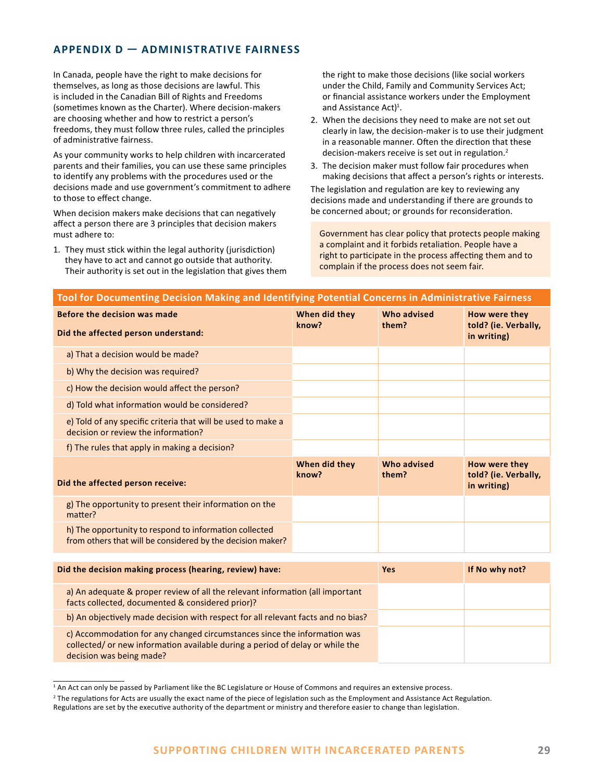# <span id="page-28-0"></span>**APPENDIX D — ADMINISTRATIVE FAIRNESS**

In Canada, people have the right to make decisions for themselves, as long as those decisions are lawful. This is included in the Canadian Bill of Rights and Freedoms (sometimes known as the Charter). Where decision-makers are choosing whether and how to restrict a person's freedoms, they must follow three rules, called the principles of administrative fairness.

As your community works to help children with incarcerated parents and their families, you can use these same principles to identify any problems with the procedures used or the decisions made and use government's commitment to adhere to those to effect change.

When decision makers make decisions that can negatively affect a person there are 3 principles that decision makers must adhere to:

1. They must stick within the legal authority (jurisdiction) they have to act and cannot go outside that authority. Their authority is set out in the legislation that gives them

decision was being made?

the right to make those decisions (like social workers under the Child, Family and Community Services Act; or financial assistance workers under the Employment and Assistance Act)<sup>1</sup>.

- 2. When the decisions they need to make are not set out clearly in law, the decision-maker is to use their judgment in a reasonable manner. Often the direction that these decision-makers receive is set out in regulation.<sup>2</sup>
- 3. The decision maker must follow fair procedures when making decisions that affect a person's rights or interests.

The legislation and regulation are key to reviewing any decisions made and understanding if there are grounds to be concerned about; or grounds for reconsideration.

Government has clear policy that protects people making a complaint and it forbids retaliation. People have a right to participate in the process affecting them and to complain if the process does not seem fair.

| Tool for Documenting Decision Making and Identifying Potential Concerns in Administrative Fairness                                                        |                        |                      |                                                      |  |
|-----------------------------------------------------------------------------------------------------------------------------------------------------------|------------------------|----------------------|------------------------------------------------------|--|
| Before the decision was made                                                                                                                              | When did they          | Who advised<br>them? | How were they                                        |  |
| Did the affected person understand:                                                                                                                       | know?                  |                      | told? (ie. Verbally,<br>in writing)                  |  |
| a) That a decision would be made?                                                                                                                         |                        |                      |                                                      |  |
| b) Why the decision was required?                                                                                                                         |                        |                      |                                                      |  |
| c) How the decision would affect the person?                                                                                                              |                        |                      |                                                      |  |
| d) Told what information would be considered?                                                                                                             |                        |                      |                                                      |  |
| e) Told of any specific criteria that will be used to make a<br>decision or review the information?                                                       |                        |                      |                                                      |  |
| f) The rules that apply in making a decision?                                                                                                             |                        |                      |                                                      |  |
| Did the affected person receive:                                                                                                                          | When did they<br>know? | Who advised<br>them? | How were they<br>told? (ie. Verbally,<br>in writing) |  |
| g) The opportunity to present their information on the<br>matter?                                                                                         |                        |                      |                                                      |  |
| h) The opportunity to respond to information collected<br>from others that will be considered by the decision maker?                                      |                        |                      |                                                      |  |
| Did the decision making process (hearing, review) have:                                                                                                   |                        | <b>Yes</b>           | If No why not?                                       |  |
| a) An adequate & proper review of all the relevant information (all important<br>facts collected, documented & considered prior)?                         |                        |                      |                                                      |  |
| b) An objectively made decision with respect for all relevant facts and no bias?                                                                          |                        |                      |                                                      |  |
| c) Accommodation for any changed circumstances since the information was<br>collected/ or new information available during a period of delay or while the |                        |                      |                                                      |  |

<sup>&</sup>lt;sup>1</sup> An Act can only be passed by Parliament like the BC Legislature or House of Commons and requires an extensive process.

<sup>&</sup>lt;sup>2</sup> The regulations for Acts are usually the exact name of the piece of legislation such as the Employment and Assistance Act Regulation. Regulations are set by the executive authority of the department or ministry and therefore easier to change than legislation.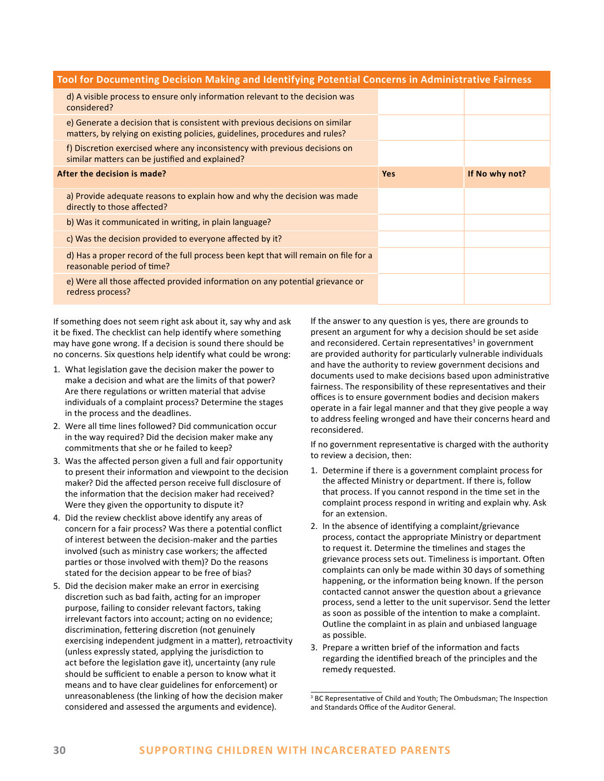| Tool for Documenting Decision Making and Identifying Potential Concerns in Administrative Fairness                                                          |            |                |  |
|-------------------------------------------------------------------------------------------------------------------------------------------------------------|------------|----------------|--|
| d) A visible process to ensure only information relevant to the decision was<br>considered?                                                                 |            |                |  |
| e) Generate a decision that is consistent with previous decisions on similar<br>matters, by relying on existing policies, guidelines, procedures and rules? |            |                |  |
| f) Discretion exercised where any inconsistency with previous decisions on<br>similar matters can be justified and explained?                               |            |                |  |
| After the decision is made?                                                                                                                                 | <b>Yes</b> | If No why not? |  |
| a) Provide adequate reasons to explain how and why the decision was made<br>directly to those affected?                                                     |            |                |  |
| b) Was it communicated in writing, in plain language?                                                                                                       |            |                |  |
| c) Was the decision provided to everyone affected by it?                                                                                                    |            |                |  |
| d) Has a proper record of the full process been kept that will remain on file for a<br>reasonable period of time?                                           |            |                |  |
| e) Were all those affected provided information on any potential grievance or<br>redress process?                                                           |            |                |  |

If something does not seem right ask about it, say why and ask it be fixed. The checklist can help identify where something may have gone wrong. If a decision is sound there should be no concerns. Six questions help identify what could be wrong:

- 1. What legislation gave the decision maker the power to make a decision and what are the limits of that power? Are there regulations or written material that advise individuals of a complaint process? Determine the stages in the process and the deadlines.
- 2. Were all time lines followed? Did communication occur in the way required? Did the decision maker make any commitments that she or he failed to keep?
- 3. Was the affected person given a full and fair opportunity to present their information and viewpoint to the decision maker? Did the affected person receive full disclosure of the information that the decision maker had received? Were they given the opportunity to dispute it?
- 4. Did the review checklist above identify any areas of concern for a fair process? Was there a potential conflict of interest between the decision-maker and the parties involved (such as ministry case workers; the affected parties or those involved with them)? Do the reasons stated for the decision appear to be free of bias?
- 5. Did the decision maker make an error in exercising discretion such as bad faith, acting for an improper purpose, failing to consider relevant factors, taking irrelevant factors into account; acting on no evidence; discrimination, fettering discretion (not genuinely exercising independent judgment in a matter), retroactivity (unless expressly stated, applying the jurisdiction to act before the legislation gave it), uncertainty (any rule should be sufficient to enable a person to know what it means and to have clear guidelines for enforcement) or unreasonableness (the linking of how the decision maker considered and assessed the arguments and evidence).

If the answer to any question is yes, there are grounds to present an argument for why a decision should be set aside and reconsidered. Certain representatives<sup>3</sup> in government are provided authority for particularly vulnerable individuals and have the authority to review government decisions and documents used to make decisions based upon administrative fairness. The responsibility of these representatives and their offices is to ensure government bodies and decision makers operate in a fair legal manner and that they give people a way to address feeling wronged and have their concerns heard and reconsidered.

If no government representative is charged with the authority to review a decision, then:

- 1. Determine if there is a government complaint process for the affected Ministry or department. If there is, follow that process. If you cannot respond in the time set in the complaint process respond in writing and explain why. Ask for an extension.
- 2. In the absence of identifying a complaint/grievance process, contact the appropriate Ministry or department to request it. Determine the timelines and stages the grievance process sets out. Timeliness is important. Often complaints can only be made within 30 days of something happening, or the information being known. If the person contacted cannot answer the question about a grievance process, send a letter to the unit supervisor. Send the letter as soon as possible of the intention to make a complaint. Outline the complaint in as plain and unbiased language as possible.
- 3. Prepare a written brief of the information and facts regarding the identified breach of the principles and the remedy requested.

<sup>&</sup>lt;sup>3</sup> BC Representative of Child and Youth; The Ombudsman; The Inspection and Standards Office of the Auditor General.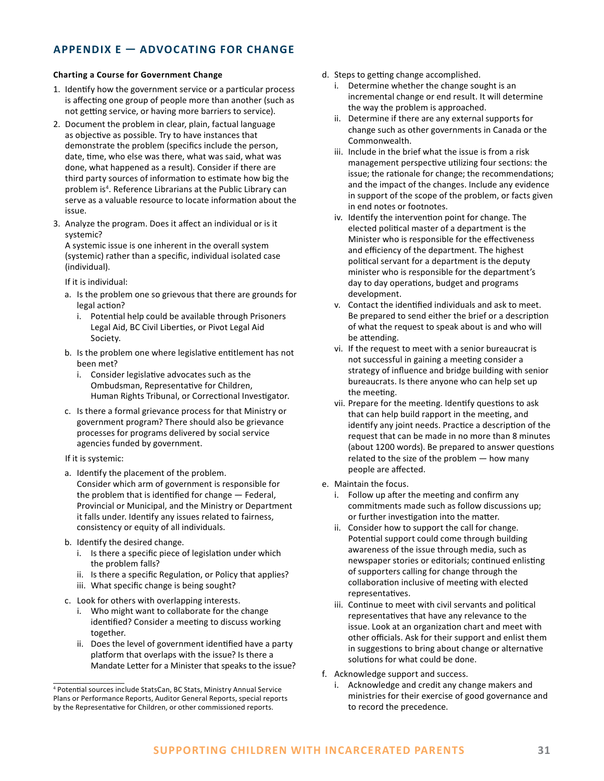# <span id="page-30-0"></span>**APPENDIX E — ADVOCATING FOR CHANGE**

#### **Charting a Course for Government Change**

- 1. Identify how the government service or a particular process is affecting one group of people more than another (such as not getting service, or having more barriers to service).
- 2. Document the problem in clear, plain, factual language as objective as possible. Try to have instances that demonstrate the problem (specifics include the person, date, time, who else was there, what was said, what was done, what happened as a result). Consider if there are third party sources of information to estimate how big the problem is<sup>4</sup>. Reference Librarians at the Public Library can serve as a valuable resource to locate information about the issue.
- 3. Analyze the program. Does it affect an individual or is it systemic?

A systemic issue is one inherent in the overall system (systemic) rather than a specific, individual isolated case (individual).

If it is individual:

- a. Is the problem one so grievous that there are grounds for legal action?
	- i. Potential help could be available through Prisoners Legal Aid, BC Civil Liberties, or Pivot Legal Aid Society.
- b. Is the problem one where legislative entitlement has not been met?
	- i. Consider legislative advocates such as the Ombudsman, Representative for Children, Human Rights Tribunal, or Correctional Investigator.
- c. Is there a formal grievance process for that Ministry or government program? There should also be grievance processes for programs delivered by social service agencies funded by government.
- If it is systemic:
- a. Identify the placement of the problem. Consider which arm of government is responsible for the problem that is identified for change — Federal, Provincial or Municipal, and the Ministry or Department it falls under. Identify any issues related to fairness, consistency or equity of all individuals.
- b. Identify the desired change.
	- i. Is there a specific piece of legislation under which the problem falls?
	- ii. Is there a specific Regulation, or Policy that applies?
	- iii. What specific change is being sought?
- c. Look for others with overlapping interests.
	- i. Who might want to collaborate for the change identified? Consider a meeting to discuss working together.
	- ii. Does the level of government identified have a party platform that overlaps with the issue? Is there a Mandate Letter for a Minister that speaks to the issue?
- d. Steps to getting change accomplished.
	- i. Determine whether the change sought is an incremental change or end result. It will determine the way the problem is approached.
	- ii. Determine if there are any external supports for change such as other governments in Canada or the Commonwealth.
	- iii. Include in the brief what the issue is from a risk management perspective utilizing four sections: the issue; the rationale for change; the recommendations; and the impact of the changes. Include any evidence in support of the scope of the problem, or facts given in end notes or footnotes.
	- iv. Identify the intervention point for change. The elected political master of a department is the Minister who is responsible for the effectiveness and efficiency of the department. The highest political servant for a department is the deputy minister who is responsible for the department's day to day operations, budget and programs development.
	- v. Contact the identified individuals and ask to meet. Be prepared to send either the brief or a description of what the request to speak about is and who will be attending.
	- vi. If the request to meet with a senior bureaucrat is not successful in gaining a meeting consider a strategy of influence and bridge building with senior bureaucrats. Is there anyone who can help set up the meeting.
	- vii. Prepare for the meeting. Identify questions to ask that can help build rapport in the meeting, and identify any joint needs. Practice a description of the request that can be made in no more than 8 minutes (about 1200 words). Be prepared to answer questions related to the size of the problem — how many people are affected.
- e. Maintain the focus.
	- i. Follow up after the meeting and confirm any commitments made such as follow discussions up; or further investigation into the matter.
	- ii. Consider how to support the call for change. Potential support could come through building awareness of the issue through media, such as newspaper stories or editorials; continued enlisting of supporters calling for change through the collaboration inclusive of meeting with elected representatives.
	- iii. Continue to meet with civil servants and political representatives that have any relevance to the issue. Look at an organization chart and meet with other officials. Ask for their support and enlist them in suggestions to bring about change or alternative solutions for what could be done.
- f. Acknowledge support and success.
	- i. Acknowledge and credit any change makers and ministries for their exercise of good governance and to record the precedence.

<sup>4</sup> Potential sources include StatsCan, BC Stats, Ministry Annual Service Plans or Performance Reports, Auditor General Reports, special reports by the Representative for Children, or other commissioned reports.